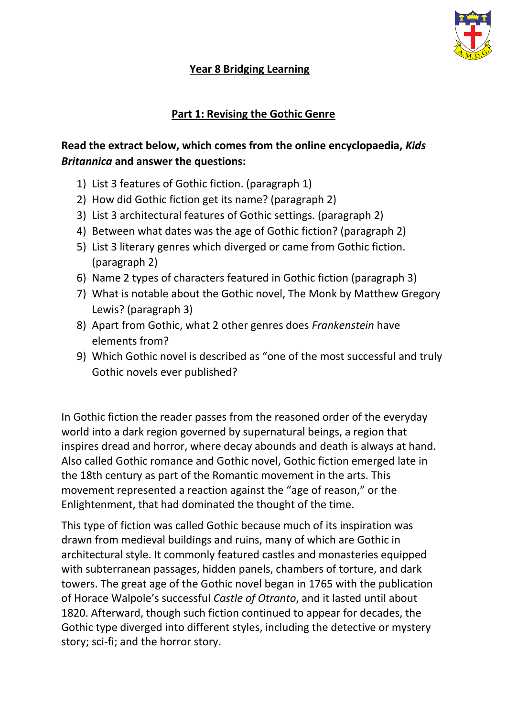

## **Year 8 Bridging Learning**

## **Part 1: Revising the Gothic Genre**

# **Read the extract below, which comes from the online encyclopaedia,** *Kids Britannica* **and answer the questions:**

- 1) List 3 features of Gothic fiction. (paragraph 1)
- 2) How did Gothic fiction get its name? (paragraph 2)
- 3) List 3 architectural features of Gothic settings. (paragraph 2)
- 4) Between what dates was the age of Gothic fiction? (paragraph 2)
- 5) List 3 literary genres which diverged or came from Gothic fiction. (paragraph 2)
- 6) Name 2 types of characters featured in Gothic fiction (paragraph 3)
- 7) What is notable about the Gothic novel, The Monk by Matthew Gregory Lewis? (paragraph 3)
- 8) Apart from Gothic, what 2 other genres does *Frankenstein* have elements from?
- 9) Which Gothic novel is described as "one of the most successful and truly Gothic novels ever published?

In Gothic fiction the reader passes from the reasoned order of the everyday world into a dark region governed by supernatural beings, a region that inspires dread and horror, where decay abounds and death is always at hand. Also called Gothic romance and Gothic novel, Gothic fiction emerged late in the 18th century as part of the Romantic movement in the arts. This movement represented a reaction against the "age of reason," or the Enlightenment, that had dominated the thought of the time.

This type of fiction was called Gothic because much of its inspiration was drawn from medieval buildings and ruins, many of which are Gothic in architectural style. It commonly featured castles and monasteries equipped with subterranean passages, hidden panels, chambers of torture, and dark towers. The great age of the Gothic novel began in 1765 with the publication of Horace Walpole's successful *Castle of Otranto*, and it lasted until about 1820. Afterward, though such fiction continued to appear for decades, the Gothic type diverged into different styles, including the detective or mystery story; sci-fi; and the horror story.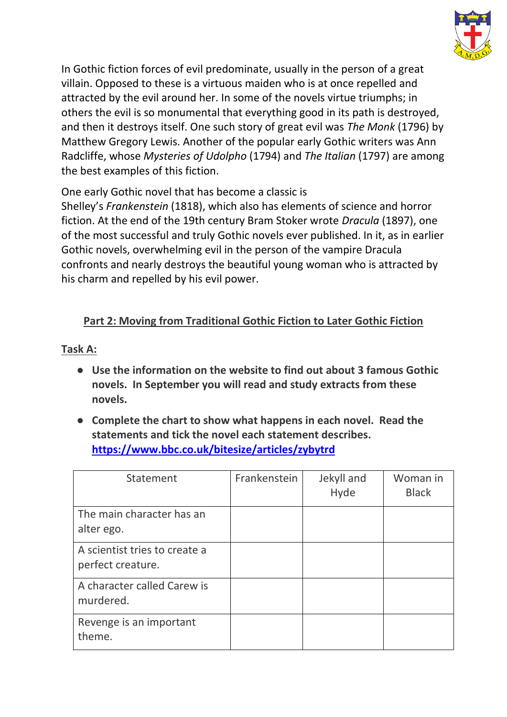

In Gothic fiction forces of evil predominate, usually in the person of a great villain. Opposed to these is a virtuous maiden who is at once repelled and attracted by the evil around her. In some of the novels virtue triumphs; in others the evil is so monumental that everything good in its path is destroyed, and then it destroys itself. One such story of great evil was *The Monk* (1796) by Matthew Gregory Lewis. Another of the popular early Gothic writers was Ann Radcliffe, whose *Mysteries of Udolpho* (1794) and *The Italian* (1797) are among the best examples of this fiction.

One early Gothic novel that has become a classic is

Shelley's *Frankenstein* (1818), which also has elements of science and horror fiction. At the end of the 19th century Bram Stoker wrote *Dracula* (1897), one of the most successful and truly Gothic novels ever published. In it, as in earlier Gothic novels, overwhelming evil in the person of the vampire Dracula confronts and nearly destroys the beautiful young woman who is attracted by his charm and repelled by his evil power.

# **Part 2: Moving from Traditional Gothic Fiction to Later Gothic Fiction**

#### **Task A:**

- **Use the information on the website to find out about 3 famous Gothic novels. In September you will read and study extracts from these novels.**
- **Complete the chart to show what happens in each novel. Read the statements and tick the novel each statement describes. <https://www.bbc.co.uk/bitesize/articles/zybytrd>**

| Statement                                          | Frankenstein | Jekyll and<br>Hyde | Woman in<br><b>Black</b> |
|----------------------------------------------------|--------------|--------------------|--------------------------|
| The main character has an<br>alter ego.            |              |                    |                          |
| A scientist tries to create a<br>perfect creature. |              |                    |                          |
| A character called Carew is<br>murdered.           |              |                    |                          |
| Revenge is an important<br>theme.                  |              |                    |                          |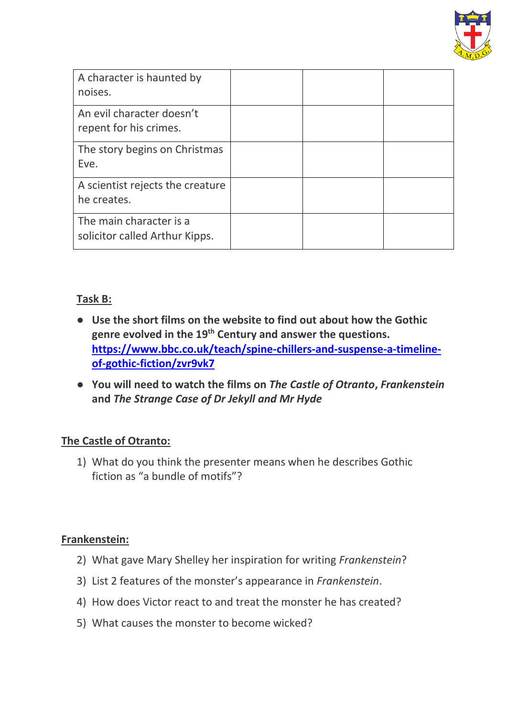

| A character is haunted by<br>noises.                      |  |  |
|-----------------------------------------------------------|--|--|
| An evil character doesn't<br>repent for his crimes.       |  |  |
| The story begins on Christmas<br>Eve.                     |  |  |
| A scientist rejects the creature<br>he creates.           |  |  |
| The main character is a<br>solicitor called Arthur Kipps. |  |  |

## **Task B:**

- **Use the short films on the website to find out about how the Gothic genre evolved in the 19th Century and answer the questions. [https://www.bbc.co.uk/teach/spine-chillers-and-suspense-a-timeline](https://www.bbc.co.uk/teach/spine-chillers-and-suspense-a-timeline-of-gothic-fiction/zvr9vk7)[of-gothic-fiction/zvr9vk7](https://www.bbc.co.uk/teach/spine-chillers-and-suspense-a-timeline-of-gothic-fiction/zvr9vk7)**
- **You will need to watch the films on** *The Castle of Otranto***,** *Frankenstein*  **and** *The Strange Case of Dr Jekyll and Mr Hyde*

#### **The Castle of Otranto:**

1) What do you think the presenter means when he describes Gothic fiction as "a bundle of motifs"?

#### **Frankenstein:**

- 2) What gave Mary Shelley her inspiration for writing *Frankenstein*?
- 3) List 2 features of the monster's appearance in *Frankenstein*.
- 4) How does Victor react to and treat the monster he has created?
- 5) What causes the monster to become wicked?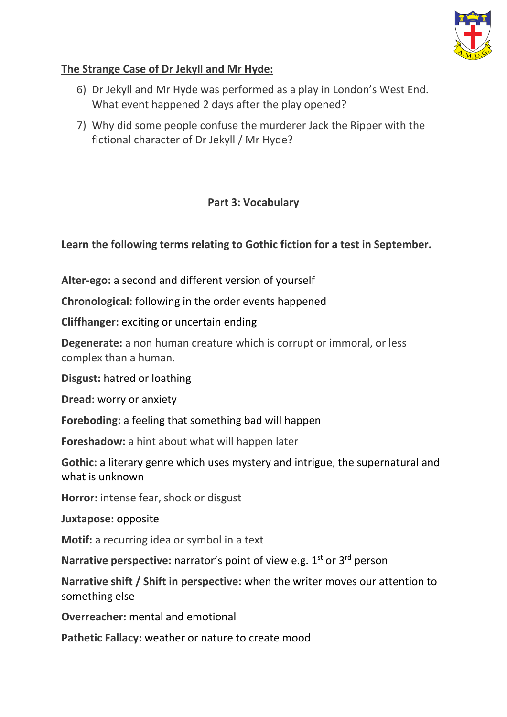

# **The Strange Case of Dr Jekyll and Mr Hyde:**

- 6) Dr Jekyll and Mr Hyde was performed as a play in London's West End. What event happened 2 days after the play opened?
- 7) Why did some people confuse the murderer Jack the Ripper with the fictional character of Dr Jekyll / Mr Hyde?

# **Part 3: Vocabulary**

## **Learn the following terms relating to Gothic fiction for a test in September.**

**Alter-ego:** a second and different version of yourself

**Chronological:** following in the order events happened

**Cliffhanger:** exciting or uncertain ending

**Degenerate:** a non human creature which is corrupt or immoral, or less complex than a human.

**Disgust:** hatred or loathing

**Dread:** worry or anxiety

**Foreboding:** a feeling that something bad will happen

**Foreshadow:** a hint about what will happen later

**Gothic:** a literary genre which uses mystery and intrigue, the supernatural and what is unknown

**Horror:** intense fear, shock or disgust

**Juxtapose:** opposite

**Motif:** a recurring idea or symbol in a text

Narrative perspective: narrator's point of view e.g. 1<sup>st</sup> or 3<sup>rd</sup> person

**Narrative shift / Shift in perspective:** when the writer moves our attention to something else

**Overreacher:** mental and emotional

**Pathetic Fallacy:** weather or nature to create mood